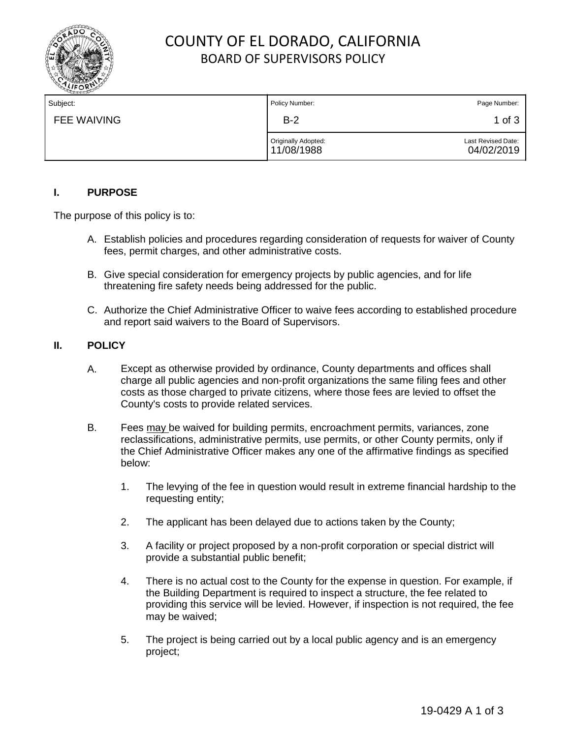

# COUNTY OF EL DORADO, CALIFORNIA BOARD OF SUPERVISORS POLICY

| Subject:           | Policy Number:                    | Page Number:                     |
|--------------------|-----------------------------------|----------------------------------|
| <b>FEE WAIVING</b> | $B-2$                             | 1 of 3                           |
|                    | Originally Adopted:<br>11/08/1988 | Last Revised Date:<br>04/02/2019 |

### **I. PURPOSE**

The purpose of this policy is to:

- A. Establish policies and procedures regarding consideration of requests for waiver of County fees, permit charges, and other administrative costs.
- B. Give special consideration for emergency projects by public agencies, and for life threatening fire safety needs being addressed for the public.
- C. Authorize the Chief Administrative Officer to waive fees according to established procedure and report said waivers to the Board of Supervisors.

#### **II. POLICY**

- A. Except as otherwise provided by ordinance, County departments and offices shall charge all public agencies and non-profit organizations the same filing fees and other costs as those charged to private citizens, where those fees are levied to offset the County's costs to provide related services.
- B. Fees may be waived for building permits, encroachment permits, variances, zone reclassifications, administrative permits, use permits, or other County permits, only if the Chief Administrative Officer makes any one of the affirmative findings as specified below:
	- 1. The levying of the fee in question would result in extreme financial hardship to the requesting entity;
	- 2. The applicant has been delayed due to actions taken by the County;
	- 3. A facility or project proposed by a non-profit corporation or special district will provide a substantial public benefit;
	- 4. There is no actual cost to the County for the expense in question. For example, if the Building Department is required to inspect a structure, the fee related to providing this service will be levied. However, if inspection is not required, the fee may be waived;
	- 5. The project is being carried out by a local public agency and is an emergency project;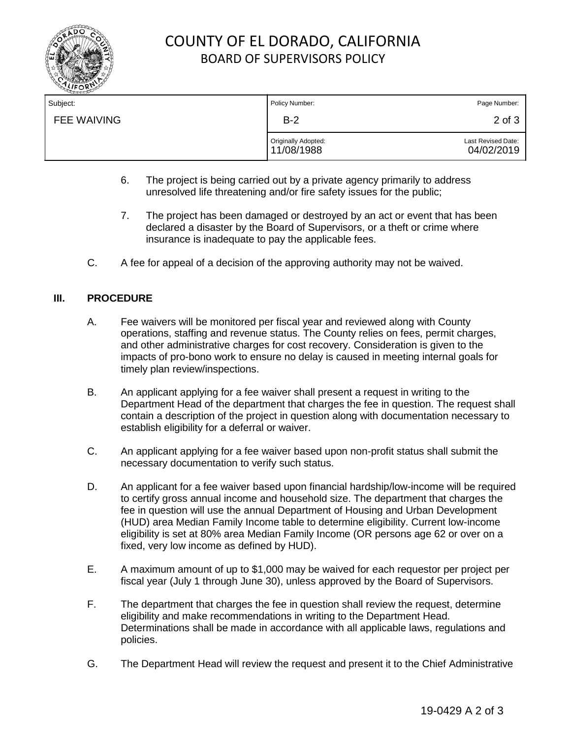

# COUNTY OF EL DORADO, CALIFORNIA BOARD OF SUPERVISORS POLICY

| Subject:           | Policy Number:                    | Page Number:                     |
|--------------------|-----------------------------------|----------------------------------|
| <b>FEE WAIVING</b> | $B-2$                             | 2 of 3                           |
|                    | Originally Adopted:<br>11/08/1988 | Last Revised Date:<br>04/02/2019 |

- 6. The project is being carried out by a private agency primarily to address unresolved life threatening and/or fire safety issues for the public;
- 7. The project has been damaged or destroyed by an act or event that has been declared a disaster by the Board of Supervisors, or a theft or crime where insurance is inadequate to pay the applicable fees.
- C. A fee for appeal of a decision of the approving authority may not be waived.

### **III. PROCEDURE**

- A. Fee waivers will be monitored per fiscal year and reviewed along with County operations, staffing and revenue status. The County relies on fees, permit charges, and other administrative charges for cost recovery. Consideration is given to the impacts of pro-bono work to ensure no delay is caused in meeting internal goals for timely plan review/inspections.
- B. An applicant applying for a fee waiver shall present a request in writing to the Department Head of the department that charges the fee in question. The request shall contain a description of the project in question along with documentation necessary to establish eligibility for a deferral or waiver.
- C. An applicant applying for a fee waiver based upon non-profit status shall submit the necessary documentation to verify such status.
- D. An applicant for a fee waiver based upon financial hardship/low-income will be required to certify gross annual income and household size. The department that charges the fee in question will use the annual Department of Housing and Urban Development (HUD) area Median Family Income table to determine eligibility. Current low-income eligibility is set at 80% area Median Family Income (OR persons age 62 or over on a fixed, very low income as defined by HUD).
- E. A maximum amount of up to \$1,000 may be waived for each requestor per project per fiscal year (July 1 through June 30), unless approved by the Board of Supervisors.
- F. The department that charges the fee in question shall review the request, determine eligibility and make recommendations in writing to the Department Head. Determinations shall be made in accordance with all applicable laws, regulations and policies.
- G. The Department Head will review the request and present it to the Chief Administrative